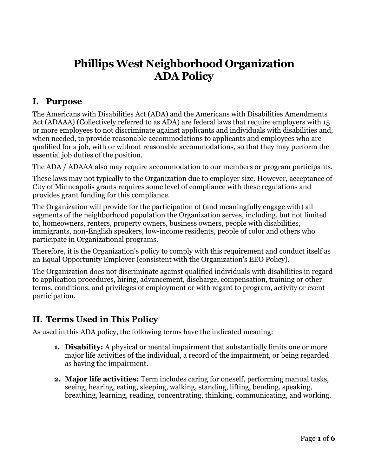# **Phillips West Neighborhood Organization ADA Policy**

## **I. Purpose**

The Americans with Disabilities Act (ADA) and the Americans with Disabilities Amendments Act (ADAAA) (Collectively referred to as ADA) are federal laws that require employers with 15 or more employees to not discriminate against applicants and individuals with disabilities and, when needed, to provide reasonable accommodations to applicants and employees who are qualified for a job, with or without reasonable accommodations, so that they may perform the essential job duties of the position.

The ADA / ADAAA also may require accommodation to our members or program participants.

These laws may not typically to the Organization due to employer size. However, acceptance of City of Minneapolis grants requires some level of compliance with these regulations and provides grant funding for this compliance.

The Organization will provide for the participation of (and meaningfully engage with) all segments of the neighborhood population the Organization serves, including, but not limited to, homeowners, renters, property owners, business owners, people with disabilities, immigrants, non-English speakers, low-income residents, people of color and others who participate in Organizational programs.

Therefore, it is the Organization's policy to comply with this requirement and conduct itself as an Equal Opportunity Employer (consistent with the Organization's EEO Policy).

The Organization does not discriminate against qualified individuals with disabilities in regard to application procedures, hiring, advancement, discharge, compensation, training or other terms, conditions, and privileges of employment or with regard to program, activity or event participation.

# **II. Terms Used in This Policy**

As used in this ADA policy, the following terms have the indicated meaning:

- **1. Disability:** A physical or mental impairment that substantially limits one or more major life activities of the individual, a record of the impairment, or being regarded as having the impairment.
- **2. Major life activities:** Term includes caring for oneself, performing manual tasks, seeing, hearing, eating, sleeping, walking, standing, lifting, bending, speaking, breathing, learning, reading, concentrating, thinking, communicating, and working.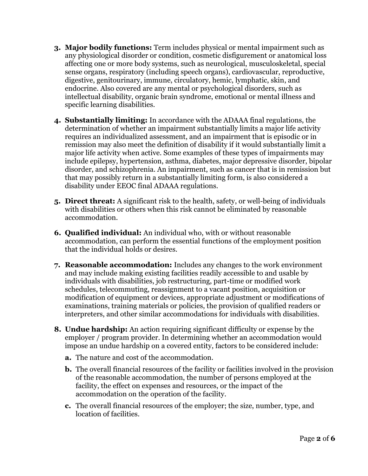- **3. Major bodily functions:** Term includes physical or mental impairment such as any physiological disorder or condition, cosmetic disfigurement or anatomical loss affecting one or more body systems, such as neurological, musculoskeletal, special sense organs, respiratory (including speech organs), cardiovascular, reproductive, digestive, genitourinary, immune, circulatory, hemic, lymphatic, skin, and endocrine. Also covered are any mental or psychological disorders, such as intellectual disability, organic brain syndrome, emotional or mental illness and specific learning disabilities.
- **4. Substantially limiting:** In accordance with the ADAAA final regulations, the determination of whether an impairment substantially limits a major life activity requires an individualized assessment, and an impairment that is episodic or in remission may also meet the definition of disability if it would substantially limit a major life activity when active. Some examples of these types of impairments may include epilepsy, hypertension, asthma, diabetes, major depressive disorder, bipolar disorder, and schizophrenia. An impairment, such as cancer that is in remission but that may possibly return in a substantially limiting form, is also considered a disability under EEOC final ADAAA regulations.
- **5. Direct threat:** A significant risk to the health, safety, or well-being of individuals with disabilities or others when this risk cannot be eliminated by reasonable accommodation.
- **6. Qualified individual:** An individual who, with or without reasonable accommodation, can perform the essential functions of the employment position that the individual holds or desires.
- **7. Reasonable accommodation:** Includes any changes to the work environment and may include making existing facilities readily accessible to and usable by individuals with disabilities, job restructuring, part-time or modified work schedules, telecommuting, reassignment to a vacant position, acquisition or modification of equipment or devices, appropriate adjustment or modifications of examinations, training materials or policies, the provision of qualified readers or interpreters, and other similar accommodations for individuals with disabilities.
- **8. Undue hardship:** An action requiring significant difficulty or expense by the employer / program provider. In determining whether an accommodation would impose an undue hardship on a covered entity, factors to be considered include:
	- **a.** The nature and cost of the accommodation.
	- **b.** The overall financial resources of the facility or facilities involved in the provision of the reasonable accommodation, the number of persons employed at the facility, the effect on expenses and resources, or the impact of the accommodation on the operation of the facility.
	- **c.** The overall financial resources of the employer; the size, number, type, and location of facilities.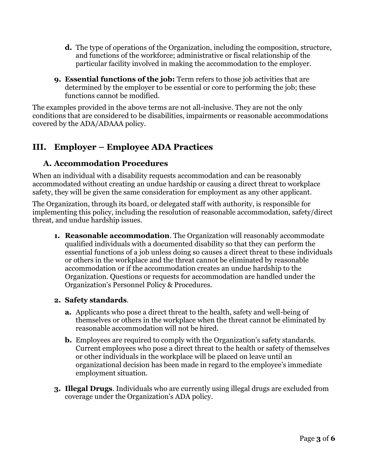- **d.** The type of operations of the Organization, including the composition, structure, and functions of the workforce; administrative or fiscal relationship of the particular facility involved in making the accommodation to the employer.
- **9. Essential functions of the job:** Term refers to those job activities that are determined by the employer to be essential or core to performing the job; these functions cannot be modified.

The examples provided in the above terms are not all-inclusive. They are not the only conditions that are considered to be disabilities, impairments or reasonable accommodations covered by the ADA/ADAAA policy.

# **III. Employer – Employee ADA Practices**

### **A. Accommodation Procedures**

When an individual with a disability requests accommodation and can be reasonably accommodated without creating an undue hardship or causing a direct threat to workplace safety, they will be given the same consideration for employment as any other applicant.

The Organization, through its board, or delegated staff with authority, is responsible for implementing this policy, including the resolution of reasonable accommodation, safety/direct threat, and undue hardship issues.

**1. Reasonable accommodation**. The Organization will reasonably accommodate qualified individuals with a documented disability so that they can perform the essential functions of a job unless doing so causes a direct threat to these individuals or others in the workplace and the threat cannot be eliminated by reasonable accommodation or if the accommodation creates an undue hardship to the Organization. Questions or requests for accommodation are handled under the Organization's Personnel Policy & Procedures.

#### **2. Safety standards**.

- **a.** Applicants who pose a direct threat to the health, safety and well-being of themselves or others in the workplace when the threat cannot be eliminated by reasonable accommodation will not be hired.
- **b.** Employees are required to comply with the Organization's safety standards. Current employees who pose a direct threat to the health or safety of themselves or other individuals in the workplace will be placed on leave until an organizational decision has been made in regard to the employee's immediate employment situation.
- **3. Illegal Drugs**. Individuals who are currently using illegal drugs are excluded from coverage under the Organization's ADA policy.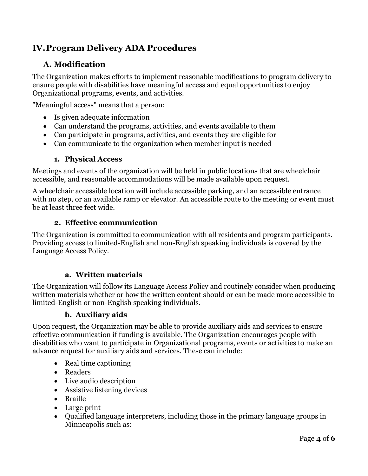# **IV.Program Delivery ADA Procedures**

### **A. Modification**

The Organization makes efforts to implement reasonable modifications to program delivery to ensure people with disabilities have meaningful access and equal opportunities to enjoy Organizational programs, events, and activities.

"Meaningful access" means that a person:

- Is given adequate information
- Can understand the programs, activities, and events available to them
- Can participate in programs, activities, and events they are eligible for
- Can communicate to the organization when member input is needed

#### **1. Physical Access**

Meetings and events of the organization will be held in public locations that are wheelchair accessible, and reasonable accommodations will be made available upon request.

A wheelchair accessible location will include accessible parking, and an accessible entrance with no step, or an available ramp or elevator. An accessible route to the meeting or event must be at least three feet wide.

#### **2. Effective communication**

The Organization is committed to communication with all residents and program participants. Providing access to limited-English and non-English speaking individuals is covered by the Language Access Policy.

#### **a. Written materials**

The Organization will follow its Language Access Policy and routinely consider when producing written materials whether or how the written content should or can be made more accessible to limited-English or non-English speaking individuals.

#### **b. Auxiliary aids**

Upon request, the Organization may be able to provide auxiliary aids and services to ensure effective communication if funding is available. The Organization encourages people with disabilities who want to participate in Organizational programs, events or activities to make an advance request for auxiliary aids and services. These can include:

- Real time captioning
- Readers
- Live audio description
- Assistive listening devices
- Braille
- Large print
- Qualified language interpreters, including those in the primary language groups in Minneapolis such as: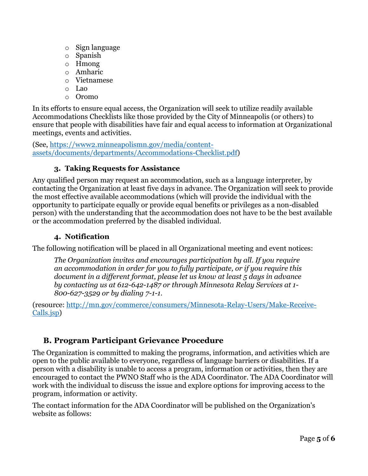- o Sign language
- o Spanish
- o Hmong
- o Amharic
- o Vietnamese
- o Lao
- o Oromo

In its efforts to ensure equal access, the Organization will seek to utilize readily available Accommodations Checklists like those provided by the City of Minneapolis (or others) to ensure that people with disabilities have fair and equal access to information at Organizational meetings, events and activities.

(See, [https://www2.minneapolismn.gov/media/content](https://www2.minneapolismn.gov/media/content-assets/documents/departments/Accommodations-Checklist.pdf)[assets/documents/departments/Accommodations-Checklist.pdf\)](https://www2.minneapolismn.gov/media/content-assets/documents/departments/Accommodations-Checklist.pdf)

#### **3. Taking Requests for Assistance**

Any qualified person may request an accommodation, such as a language interpreter, by contacting the Organization at least five days in advance. The Organization will seek to provide the most effective available accommodations (which will provide the individual with the opportunity to participate equally or provide equal benefits or privileges as a non-disabled person) with the understanding that the accommodation does not have to be the best available or the accommodation preferred by the disabled individual.

#### **4. Notification**

The following notification will be placed in all Organizational meeting and event notices:

*The Organization invites and encourages participation by all. If you require an accommodation in order for you to fully participate, or if you require this document in a different format, please let us know at least 5 days in advance by contacting us at 612-642-1487 or through Minnesota Relay Services at 1- 800-627-3529 or by dialing 7-1-1.*

(resource: [http://mn.gov/commerce/consumers/Minnesota-Relay-Users/Make-Receive-](http://mn.gov/commerce/consumers/Minnesota-Relay-Users/Make-Receive-Calls.jsp)[Calls.jsp\)](http://mn.gov/commerce/consumers/Minnesota-Relay-Users/Make-Receive-Calls.jsp)

### **B. Program Participant Grievance Procedure**

The Organization is committed to making the programs, information, and activities which are open to the public available to everyone, regardless of language barriers or disabilities. If a person with a disability is unable to access a program, information or activities, then they are encouraged to contact the PWNO Staff who is the ADA Coordinator. The ADA Coordinator will work with the individual to discuss the issue and explore options for improving access to the program, information or activity.

The contact information for the ADA Coordinator will be published on the Organization's website as follows: